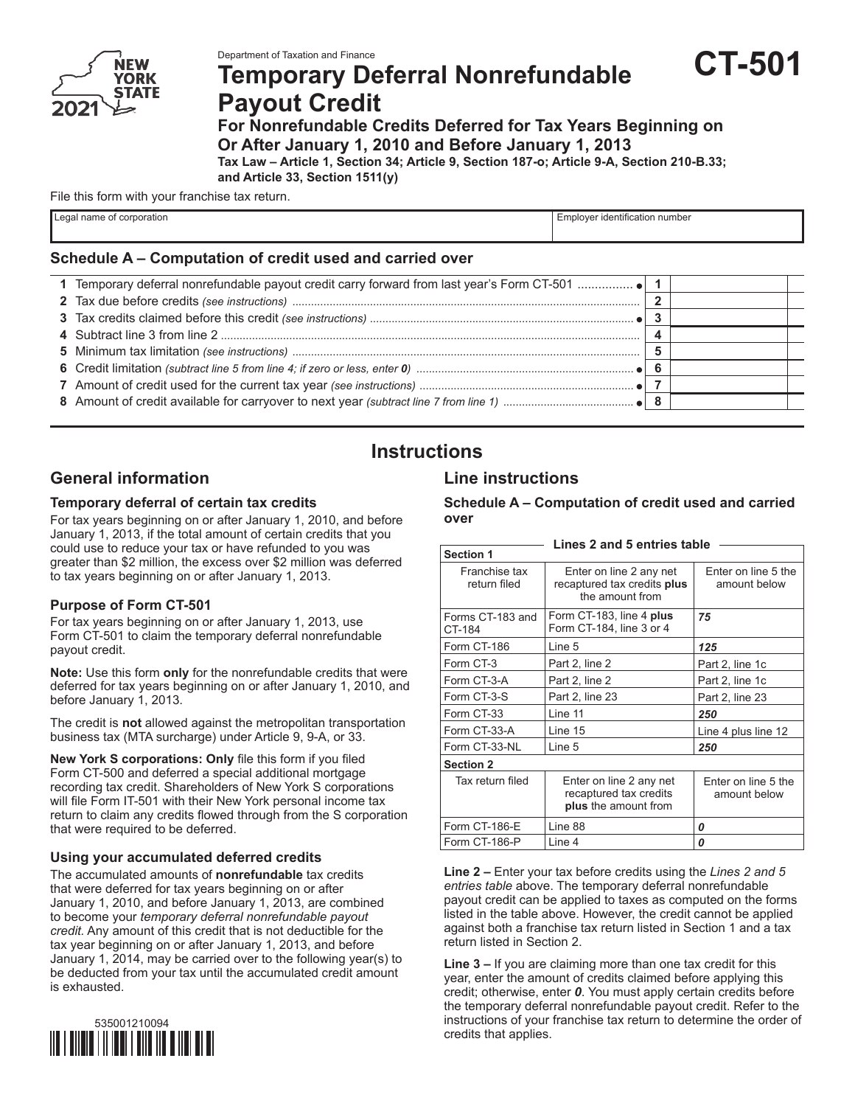

# **Temporary Deferral Nonrefundable Payout Credit**



**Tax Law – Article 1, Section 34; Article 9, Section 187-o; Article 9-A, Section 210-B.33; and Article 33, Section 1511(y)**

File this form with your franchise tax return.

| egal<br>name of<br>≀ corporation | Employer identification number |
|----------------------------------|--------------------------------|
|                                  |                                |

#### **Schedule A – Computation of credit used and carried over**

# **Instructions**

## **General information**

#### **Temporary deferral of certain tax credits**

For tax years beginning on or after January 1, 2010, and before January 1, 2013, if the total amount of certain credits that you could use to reduce your tax or have refunded to you was greater than \$2 million, the excess over \$2 million was deferred to tax years beginning on or after January 1, 2013.

#### **Purpose of Form CT-501**

For tax years beginning on or after January 1, 2013, use Form CT-501 to claim the temporary deferral nonrefundable payout credit.

**Note:** Use this form **only** for the nonrefundable credits that were deferred for tax years beginning on or after January 1, 2010, and before January 1, 2013.

The credit is **not** allowed against the metropolitan transportation business tax (MTA surcharge) under Article 9, 9-A, or 33.

**New York S corporations: Only** file this form if you filed Form CT-500 and deferred a special additional mortgage recording tax credit. Shareholders of New York S corporations will file Form IT-501 with their New York personal income tax return to claim any credits flowed through from the S corporation that were required to be deferred.

#### **Using your accumulated deferred credits**

The accumulated amounts of **nonrefundable** tax credits that were deferred for tax years beginning on or after January 1, 2010, and before January 1, 2013, are combined to become your *temporary deferral nonrefundable payout credit.* Any amount of this credit that is not deductible for the tax year beginning on or after January 1, 2013, and before January 1, 2014, may be carried over to the following year(s) to be deducted from your tax until the accumulated credit amount is exhausted.



## **Line instructions**

**Schedule A – Computation of credit used and carried over**

**CT-501**

| Lines 2 and 5 entries table   |                                                                           |                                     |  |  |  |  |
|-------------------------------|---------------------------------------------------------------------------|-------------------------------------|--|--|--|--|
| <b>Section 1</b>              |                                                                           |                                     |  |  |  |  |
| Franchise tax<br>return filed | Enter on line 2 any net<br>recaptured tax credits plus<br>the amount from | Enter on line 5 the<br>amount below |  |  |  |  |
| Forms CT-183 and<br>CT-184    | Form CT-183, line 4 plus<br>Form CT-184, line 3 or 4                      | 75                                  |  |  |  |  |
| Form CT-186                   | Line 5                                                                    | 125                                 |  |  |  |  |
| Form CT-3                     | Part 2, line 2                                                            | Part 2, line 1c                     |  |  |  |  |
| Form CT-3-A                   | Part 2, line 2                                                            | Part 2, line 1c                     |  |  |  |  |
| Form CT-3-S                   | Part 2, line 23                                                           | Part 2, line 23                     |  |  |  |  |
| Form CT-33                    | Line 11                                                                   | 250                                 |  |  |  |  |
| Form CT-33-A                  | Line 15                                                                   | Line 4 plus line 12                 |  |  |  |  |
| Form CT-33-NL                 | Line 5                                                                    | 250                                 |  |  |  |  |
| <b>Section 2</b>              |                                                                           |                                     |  |  |  |  |
| Tax return filed              | Enter on line 2 any net<br>recaptured tax credits<br>plus the amount from | Enter on line 5 the<br>amount below |  |  |  |  |
| Form CT-186-E                 | Line 88                                                                   | 0                                   |  |  |  |  |
| Form CT-186-P                 | Line 4                                                                    | 0                                   |  |  |  |  |

**Line 2 –** Enter your tax before credits using the *Lines 2 and 5 entries table* above. The temporary deferral nonrefundable payout credit can be applied to taxes as computed on the forms listed in the table above. However, the credit cannot be applied against both a franchise tax return listed in Section 1 and a tax return listed in Section 2.

**Line 3 –** If you are claiming more than one tax credit for this year, enter the amount of credits claimed before applying this credit; otherwise, enter *0*. You must apply certain credits before the temporary deferral nonrefundable payout credit. Refer to the instructions of your franchise tax return to determine the order of credits that applies.